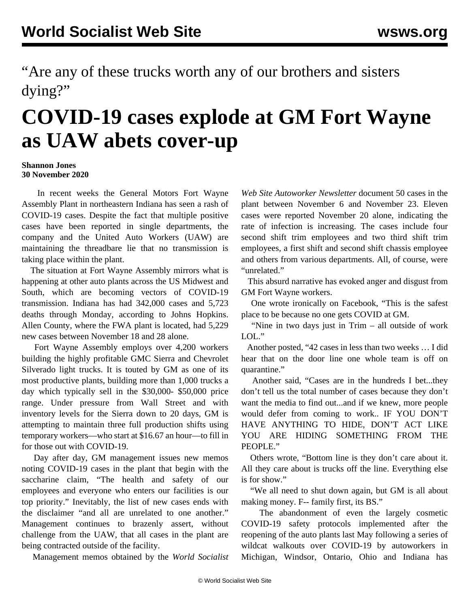"Are any of these trucks worth any of our brothers and sisters dying?"

## **COVID-19 cases explode at GM Fort Wayne as UAW abets cover-up**

## **Shannon Jones 30 November 2020**

 In recent weeks the General Motors Fort Wayne Assembly Plant in northeastern Indiana has seen a rash of COVID-19 cases. Despite the fact that multiple positive cases have been reported in single departments, the company and the United Auto Workers (UAW) are maintaining the threadbare lie that no transmission is taking place within the plant.

 The situation at Fort Wayne Assembly mirrors what is happening at other auto plants across the US Midwest and South, which are becoming vectors of COVID-19 transmission. Indiana has had 342,000 cases and 5,723 deaths through Monday, according to Johns Hopkins. Allen County, where the FWA plant is located, had 5,229 new cases between November 18 and 28 alone.

 Fort Wayne Assembly employs over 4,200 workers building the highly profitable GMC Sierra and Chevrolet Silverado light trucks. It is touted by GM as one of its most productive plants, building more than 1,000 trucks a day which typically sell in the \$30,000- \$50,000 price range. Under pressure from Wall Street and with inventory levels for the Sierra down to 20 days, GM is attempting to maintain three full production shifts using temporary workers—who start at \$16.67 an hour—to fill in for those out with COVID-19.

 Day after day, GM management issues new memos noting COVID-19 cases in the plant that begin with the saccharine claim, "The health and safety of our employees and everyone who enters our facilities is our top priority." Inevitably, the list of new cases ends with the disclaimer "and all are unrelated to one another." Management continues to brazenly assert, without challenge from the UAW, that all cases in the plant are being contracted outside of the facility.

Management memos obtained by the *World Socialist*

*Web Site Autoworker Newsletter* document 50 cases in the plant between November 6 and November 23. Eleven cases were reported November 20 alone, indicating the rate of infection is increasing. The cases include four second shift trim employees and two third shift trim employees, a first shift and second shift chassis employee and others from various departments. All, of course, were "unrelated."

 This absurd narrative has evoked anger and disgust from GM Fort Wayne workers.

 One wrote ironically on Facebook, "This is the safest place to be because no one gets COVID at GM.

 "Nine in two days just in Trim – all outside of work LOL."

 Another posted, "42 cases in less than two weeks … I did hear that on the door line one whole team is off on quarantine."

 Another said, "Cases are in the hundreds I bet...they don't tell us the total number of cases because they don't want the media to find out...and if we knew, more people would defer from coming to work.. IF YOU DON'T HAVE ANYTHING TO HIDE, DON'T ACT LIKE YOU ARE HIDING SOMETHING FROM THE PEOPLE."

 Others wrote, "Bottom line is they don't care about it. All they care about is trucks off the line. Everything else is for show."

 "We all need to shut down again, but GM is all about making money. F-- family first, its BS."

 The abandonment of even the largely cosmetic COVID-19 safety protocols implemented after the reopening of the auto plants last May following a series of wildcat [walkouts](/en/articles/2020/03/19/auto-m19.html) over COVID-19 by autoworkers in Michigan, Windsor, Ontario, Ohio and Indiana has